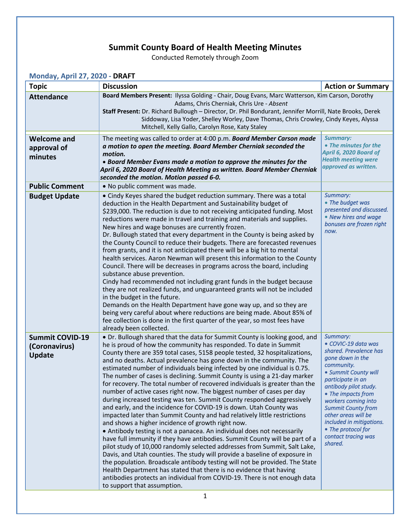## **Summit County Board of Health Meeting Minutes**

Conducted Remotely through Zoom

| Monday, April 27, 2020 - DRAFT                           |                                                                                                                                                                                                                                                                                                                                                                                                                                                                                                                                                                                                                                                                                                                                                                                                                                                                                                                                                                                                                                                                                                                                                                                                                                                                                                                                                                                                                                                                                               |                                                                                                                                                                                                                                                                                                                                                        |  |  |
|----------------------------------------------------------|-----------------------------------------------------------------------------------------------------------------------------------------------------------------------------------------------------------------------------------------------------------------------------------------------------------------------------------------------------------------------------------------------------------------------------------------------------------------------------------------------------------------------------------------------------------------------------------------------------------------------------------------------------------------------------------------------------------------------------------------------------------------------------------------------------------------------------------------------------------------------------------------------------------------------------------------------------------------------------------------------------------------------------------------------------------------------------------------------------------------------------------------------------------------------------------------------------------------------------------------------------------------------------------------------------------------------------------------------------------------------------------------------------------------------------------------------------------------------------------------------|--------------------------------------------------------------------------------------------------------------------------------------------------------------------------------------------------------------------------------------------------------------------------------------------------------------------------------------------------------|--|--|
| <b>Topic</b>                                             | <b>Discussion</b>                                                                                                                                                                                                                                                                                                                                                                                                                                                                                                                                                                                                                                                                                                                                                                                                                                                                                                                                                                                                                                                                                                                                                                                                                                                                                                                                                                                                                                                                             | <b>Action or Summary</b>                                                                                                                                                                                                                                                                                                                               |  |  |
| <b>Attendance</b>                                        | Board Members Present: Ilyssa Golding - Chair, Doug Evans, Marc Watterson, Kim Carson, Dorothy<br>Adams, Chris Cherniak, Chris Ure - Absent<br>Staff Present: Dr. Richard Bullough - Director, Dr. Phil Bondurant, Jennifer Morrill, Nate Brooks, Derek<br>Siddoway, Lisa Yoder, Shelley Worley, Dave Thomas, Chris Crowley, Cindy Keyes, Alyssa<br>Mitchell, Kelly Gallo, Carolyn Rose, Katy Staley                                                                                                                                                                                                                                                                                                                                                                                                                                                                                                                                                                                                                                                                                                                                                                                                                                                                                                                                                                                                                                                                                          |                                                                                                                                                                                                                                                                                                                                                        |  |  |
| <b>Welcome and</b><br>approval of<br>minutes             | The meeting was called to order at 4:00 p.m. Board Member Carson made<br>a motion to open the meeting. Board Member Cherniak seconded the<br>motion.<br>• Board Member Evans made a motion to approve the minutes for the<br>April 6, 2020 Board of Health Meeting as written. Board Member Cherniak<br>seconded the motion. Motion passed 6-0.                                                                                                                                                                                                                                                                                                                                                                                                                                                                                                                                                                                                                                                                                                                                                                                                                                                                                                                                                                                                                                                                                                                                               | <b>Summary:</b><br>• The minutes for the<br>April 6, 2020 Board of<br><b>Health meeting were</b><br>approved as written.                                                                                                                                                                                                                               |  |  |
| <b>Public Comment</b>                                    | . No public comment was made.                                                                                                                                                                                                                                                                                                                                                                                                                                                                                                                                                                                                                                                                                                                                                                                                                                                                                                                                                                                                                                                                                                                                                                                                                                                                                                                                                                                                                                                                 |                                                                                                                                                                                                                                                                                                                                                        |  |  |
| <b>Budget Update</b>                                     | • Cindy Keyes shared the budget reduction summary. There was a total<br>deduction in the Health Department and Sustainability budget of<br>\$239,000. The reduction is due to not receiving anticipated funding. Most<br>reductions were made in travel and training and materials and supplies.<br>New hires and wage bonuses are currently frozen.<br>Dr. Bullough stated that every department in the County is being asked by<br>the County Council to reduce their budgets. There are forecasted revenues<br>from grants, and it is not anticipated there will be a big hit to mental<br>health services. Aaron Newman will present this information to the County<br>Council. There will be decreases in programs across the board, including<br>substance abuse prevention.<br>Cindy had recommended not including grant funds in the budget because<br>they are not realized funds, and unguaranteed grants will not be included<br>in the budget in the future.<br>Demands on the Health Department have gone way up, and so they are<br>being very careful about where reductions are being made. About 85% of<br>fee collection is done in the first quarter of the year, so most fees have<br>already been collected.                                                                                                                                                                                                                                                             | Summary:<br>• The budget was<br>presented and discussed.<br>• New hires and wage<br>bonuses are frozen right<br>now.                                                                                                                                                                                                                                   |  |  |
| <b>Summit COVID-19</b><br>(Coronavirus)<br><b>Update</b> | • Dr. Bullough shared that the data for Summit County is looking good, and<br>he is proud of how the community has responded. To date in Summit<br>County there are 359 total cases, 5158 people tested, 32 hospitalizations,<br>and no deaths. Actual prevalence has gone down in the community. The<br>estimated number of individuals being infected by one individual is 0.75.<br>The number of cases is declining. Summit County is using a 21-day marker<br>for recovery. The total number of recovered individuals is greater than the<br>number of active cases right now. The biggest number of cases per day<br>during increased testing was ten. Summit County responded aggressively<br>and early, and the incidence for COVID-19 is down. Utah County was<br>impacted later than Summit County and had relatively little restrictions<br>and shows a higher incidence of growth right now.<br>• Antibody testing is not a panacea. An individual does not necessarily<br>have full immunity if they have antibodies. Summit County will be part of a<br>pilot study of 10,000 randomly selected addresses from Summit, Salt Lake,<br>Davis, and Utah counties. The study will provide a baseline of exposure in<br>the population. Broadscale antibody testing will not be provided. The State<br>Health Department has stated that there is no evidence that having<br>antibodies protects an individual from COVID-19. There is not enough data<br>to support that assumption. | Summary:<br>• COVIC-19 data was<br>shared. Prevalence has<br>gone down in the<br>community.<br>• Summit County will<br>participate in an<br>antibody pilot study.<br>• The impacts from<br>workers coming into<br><b>Summit County from</b><br>other areas will be<br>included in mitigations.<br>• The protocol for<br>contact tracing was<br>shared. |  |  |
| $\mathbf{1}$                                             |                                                                                                                                                                                                                                                                                                                                                                                                                                                                                                                                                                                                                                                                                                                                                                                                                                                                                                                                                                                                                                                                                                                                                                                                                                                                                                                                                                                                                                                                                               |                                                                                                                                                                                                                                                                                                                                                        |  |  |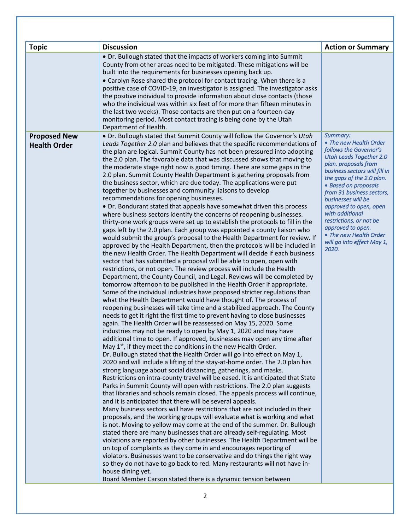| <b>Topic</b>        | <b>Discussion</b>                                                                                                                                                                                                                                                                                                                                                                                                                                                                                                                                                                                                                                                                                                                                                                                                                                                                                                                                                                                                                                                                                                                                                                                                                                                                                                                                                                                                                                                                                                                                                                                                                                                                                                                                                                                                                                                                                                                                                                                                                                                                                                                                                                                                                                                                                                                                                                                                                                                                                                                                                                                                                                                                                                                                                                                                                                                                                                                                                                                                                                                                                                                                                                                                           | <b>Action or Summary</b>                                                                                                                                                                                                                                                                                                                                                                |
|---------------------|-----------------------------------------------------------------------------------------------------------------------------------------------------------------------------------------------------------------------------------------------------------------------------------------------------------------------------------------------------------------------------------------------------------------------------------------------------------------------------------------------------------------------------------------------------------------------------------------------------------------------------------------------------------------------------------------------------------------------------------------------------------------------------------------------------------------------------------------------------------------------------------------------------------------------------------------------------------------------------------------------------------------------------------------------------------------------------------------------------------------------------------------------------------------------------------------------------------------------------------------------------------------------------------------------------------------------------------------------------------------------------------------------------------------------------------------------------------------------------------------------------------------------------------------------------------------------------------------------------------------------------------------------------------------------------------------------------------------------------------------------------------------------------------------------------------------------------------------------------------------------------------------------------------------------------------------------------------------------------------------------------------------------------------------------------------------------------------------------------------------------------------------------------------------------------------------------------------------------------------------------------------------------------------------------------------------------------------------------------------------------------------------------------------------------------------------------------------------------------------------------------------------------------------------------------------------------------------------------------------------------------------------------------------------------------------------------------------------------------------------------------------------------------------------------------------------------------------------------------------------------------------------------------------------------------------------------------------------------------------------------------------------------------------------------------------------------------------------------------------------------------------------------------------------------------------------------------------------------------|-----------------------------------------------------------------------------------------------------------------------------------------------------------------------------------------------------------------------------------------------------------------------------------------------------------------------------------------------------------------------------------------|
|                     | • Dr. Bullough stated that the impacts of workers coming into Summit                                                                                                                                                                                                                                                                                                                                                                                                                                                                                                                                                                                                                                                                                                                                                                                                                                                                                                                                                                                                                                                                                                                                                                                                                                                                                                                                                                                                                                                                                                                                                                                                                                                                                                                                                                                                                                                                                                                                                                                                                                                                                                                                                                                                                                                                                                                                                                                                                                                                                                                                                                                                                                                                                                                                                                                                                                                                                                                                                                                                                                                                                                                                                        |                                                                                                                                                                                                                                                                                                                                                                                         |
|                     | County from other areas need to be mitigated. These mitigations will be<br>built into the requirements for businesses opening back up.<br>• Carolyn Rose shared the protocol for contact tracing. When there is a<br>positive case of COVID-19, an investigator is assigned. The investigator asks<br>the positive individual to provide information about close contacts (those<br>who the individual was within six feet of for more than fifteen minutes in<br>the last two weeks). Those contacts are then put on a fourteen-day<br>monitoring period. Most contact tracing is being done by the Utah<br>Department of Health.                                                                                                                                                                                                                                                                                                                                                                                                                                                                                                                                                                                                                                                                                                                                                                                                                                                                                                                                                                                                                                                                                                                                                                                                                                                                                                                                                                                                                                                                                                                                                                                                                                                                                                                                                                                                                                                                                                                                                                                                                                                                                                                                                                                                                                                                                                                                                                                                                                                                                                                                                                                          |                                                                                                                                                                                                                                                                                                                                                                                         |
| <b>Proposed New</b> | • Dr. Bullough stated that Summit County will follow the Governor's Utah<br>Leads Together 2.0 plan and believes that the specific recommendations of                                                                                                                                                                                                                                                                                                                                                                                                                                                                                                                                                                                                                                                                                                                                                                                                                                                                                                                                                                                                                                                                                                                                                                                                                                                                                                                                                                                                                                                                                                                                                                                                                                                                                                                                                                                                                                                                                                                                                                                                                                                                                                                                                                                                                                                                                                                                                                                                                                                                                                                                                                                                                                                                                                                                                                                                                                                                                                                                                                                                                                                                       | Summary:<br>• The new Health Order                                                                                                                                                                                                                                                                                                                                                      |
| <b>Health Order</b> | the plan are logical. Summit County has not been pressured into adopting<br>the 2.0 plan. The favorable data that was discussed shows that moving to<br>the moderate stage right now is good timing. There are some gaps in the<br>2.0 plan. Summit County Health Department is gathering proposals from<br>the business sector, which are due today. The applications were put<br>together by businesses and community liaisons to develop<br>recommendations for opening businesses.<br>• Dr. Bondurant stated that appeals have somewhat driven this process<br>where business sectors identify the concerns of reopening businesses.<br>thirty-one work groups were set up to establish the protocols to fill in the<br>gaps left by the 2.0 plan. Each group was appointed a county liaison who<br>would submit the group's proposal to the Health Department for review. If<br>approved by the Health Department, then the protocols will be included in<br>the new Health Order. The Health Department will decide if each business<br>sector that has submitted a proposal will be able to open, open with<br>restrictions, or not open. The review process will include the Health<br>Department, the County Council, and Legal. Reviews will be completed by<br>tomorrow afternoon to be published in the Health Order if appropriate.<br>Some of the individual industries have proposed stricter regulations than<br>what the Health Department would have thought of. The process of<br>reopening businesses will take time and a stabilized approach. The County<br>needs to get it right the first time to prevent having to close businesses<br>again. The Health Order will be reassessed on May 15, 2020. Some<br>industries may not be ready to open by May 1, 2020 and may have<br>additional time to open. If approved, businesses may open any time after<br>May 1 <sup>st</sup> , if they meet the conditions in the new Health Order.<br>Dr. Bullough stated that the Health Order will go into effect on May 1,<br>2020 and will include a lifting of the stay-at-home order. The 2.0 plan has<br>strong language about social distancing, gatherings, and masks.<br>Restrictions on intra-county travel will be eased. It is anticipated that State<br>Parks in Summit County will open with restrictions. The 2.0 plan suggests<br>that libraries and schools remain closed. The appeals process will continue,<br>and it is anticipated that there will be several appeals.<br>Many business sectors will have restrictions that are not included in their<br>proposals, and the working groups will evaluate what is working and what<br>is not. Moving to yellow may come at the end of the summer. Dr. Bullough<br>stated there are many businesses that are already self-regulating. Most<br>violations are reported by other businesses. The Health Department will be<br>on top of complaints as they come in and encourages reporting of<br>violators. Businesses want to be conservative and do things the right way<br>so they do not have to go back to red. Many restaurants will not have in-<br>house dining yet.<br>Board Member Carson stated there is a dynamic tension between | follows the Governor's<br><b>Utah Leads Together 2.0</b><br>plan. proposals from<br>business sectors will fill in<br>the gaps of the 2.0 plan.<br>• Based on proposals<br>from 31 business sectors,<br>businesses will be<br>approved to open, open<br>with additional<br>restrictions, or not be<br>approved to open.<br>• The new Health Order<br>will go into effect May 1,<br>2020. |